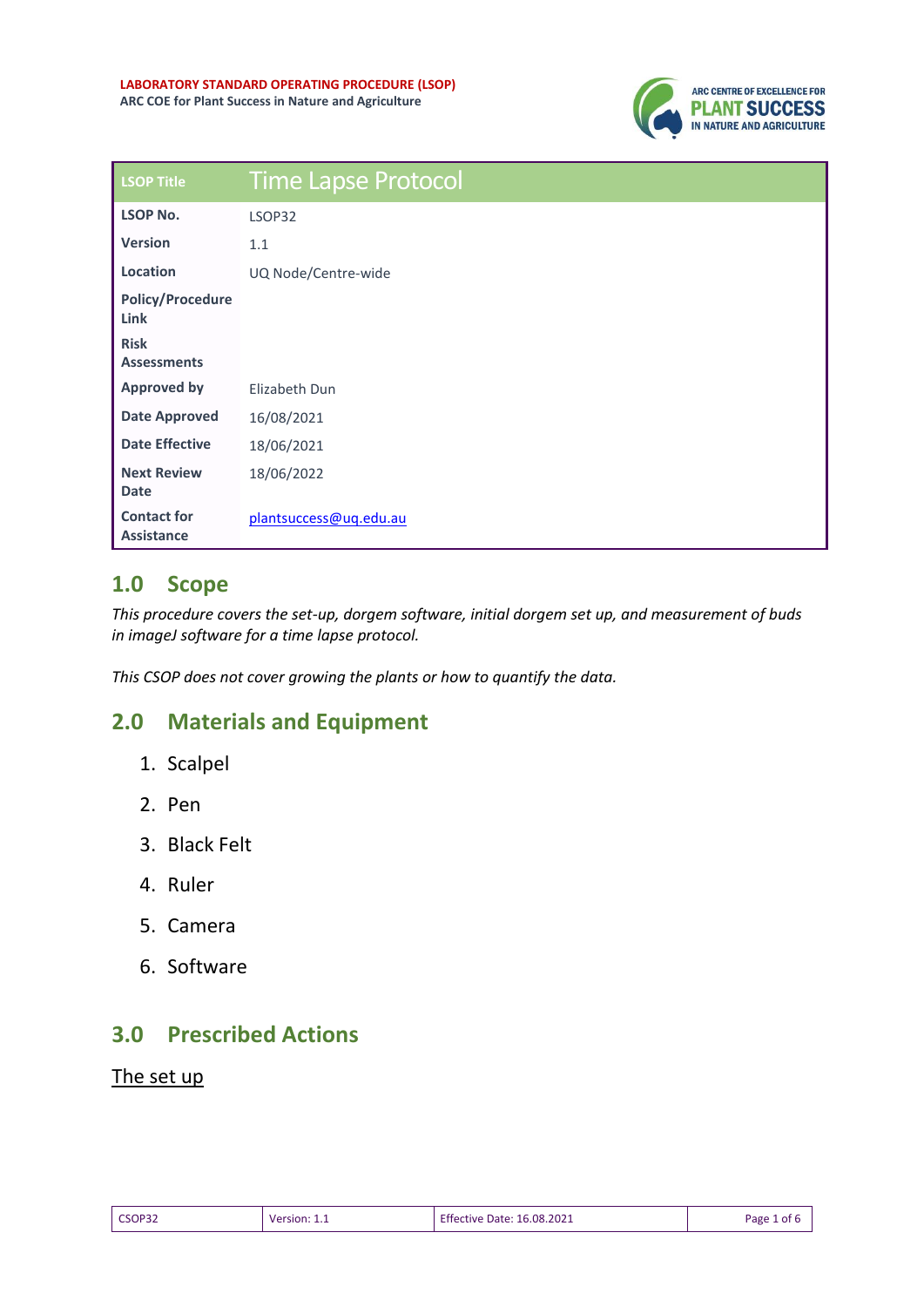

| <b>LSOP Title</b>                       | <b>Time Lapse Protocol</b> |
|-----------------------------------------|----------------------------|
| <b>LSOP No.</b>                         | LSOP32                     |
| <b>Version</b>                          | 1.1                        |
| Location                                | UQ Node/Centre-wide        |
| <b>Policy/Procedure</b><br>Link         |                            |
| <b>Risk</b><br><b>Assessments</b>       |                            |
| <b>Approved by</b>                      | Elizabeth Dun              |
| <b>Date Approved</b>                    | 16/08/2021                 |
| <b>Date Effective</b>                   | 18/06/2021                 |
| <b>Next Review</b><br><b>Date</b>       | 18/06/2022                 |
| <b>Contact for</b><br><b>Assistance</b> | plantsuccess@uq.edu.au     |

## **1.0 Scope**

*This procedure covers the set-up, dorgem software, initial dorgem set up, and measurement of buds in imageJ software for a time lapse protocol.* 

*This CSOP does not cover growing the plants or how to quantify the data.* 

# **2.0 Materials and Equipment**

- 1. Scalpel
- 2. Pen
- 3. Black Felt
- 4. Ruler
- 5. Camera
- 6. Software

## **3.0 Prescribed Actions**

#### The set up

| CSOP32 | Version: 1.1 | <b>Effective Date: 16.08.2021</b> | Page 1<br>. of ⊧ |
|--------|--------------|-----------------------------------|------------------|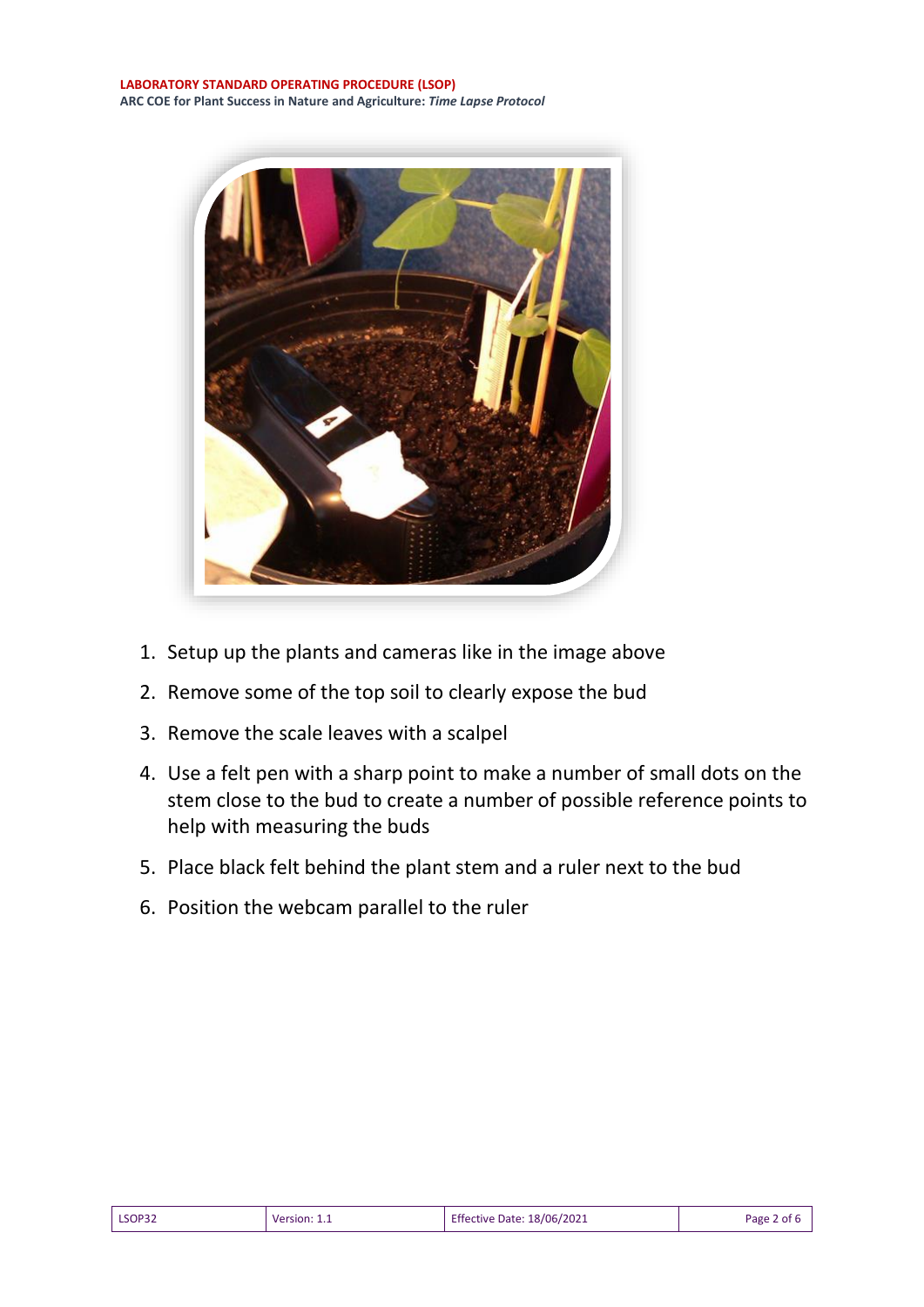**LABORATORY STANDARD OPERATING PROCEDURE (LSOP) ARC COE for Plant Success in Nature and Agriculture:** *Time Lapse Protocol*



- 1. Setup up the plants and cameras like in the image above
- 2. Remove some of the top soil to clearly expose the bud
- 3. Remove the scale leaves with a scalpel
- 4. Use a felt pen with a sharp point to make a number of small dots on the stem close to the bud to create a number of possible reference points to help with measuring the buds
- 5. Place black felt behind the plant stem and a ruler next to the bud
- 6. Position the webcam parallel to the ruler

| LSOP32<br>Version: $1_{1}$ | <b>Effective Date: 18/06/2021</b> | Page 2 of 6 |
|----------------------------|-----------------------------------|-------------|
|----------------------------|-----------------------------------|-------------|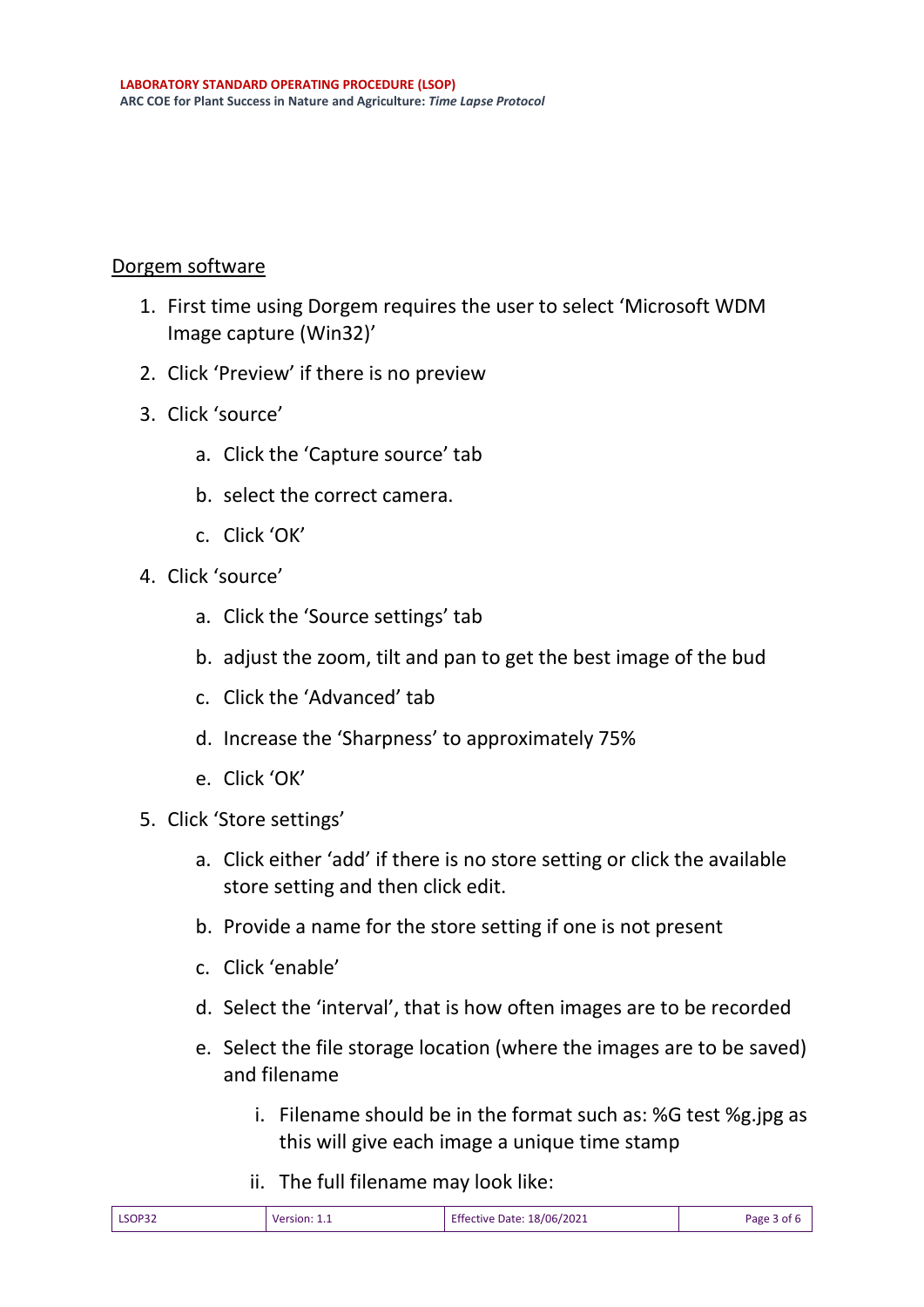#### Dorgem software

- 1. First time using Dorgem requires the user to select 'Microsoft WDM Image capture (Win32)'
- 2. Click 'Preview' if there is no preview
- 3. Click 'source'
	- a. Click the 'Capture source' tab
	- b. select the correct camera.
	- c. Click 'OK'
- 4. Click 'source'
	- a. Click the 'Source settings' tab
	- b. adjust the zoom, tilt and pan to get the best image of the bud
	- c. Click the 'Advanced' tab
	- d. Increase the 'Sharpness' to approximately 75%
	- e. Click 'OK'
- 5. Click 'Store settings'
	- a. Click either 'add' if there is no store setting or click the available store setting and then click edit.
	- b. Provide a name for the store setting if one is not present
	- c. Click 'enable'
	- d. Select the 'interval', that is how often images are to be recorded
	- e. Select the file storage location (where the images are to be saved) and filename
		- i. Filename should be in the format such as: %G test %g.jpg as this will give each image a unique time stamp
		- ii. The full filename may look like:

|  | LSOP32 | Version: 1.1 | 18/06/2021<br>$ \sim$<br>Etter<br>tive Date: | age<br>∩t |
|--|--------|--------------|----------------------------------------------|-----------|
|--|--------|--------------|----------------------------------------------|-----------|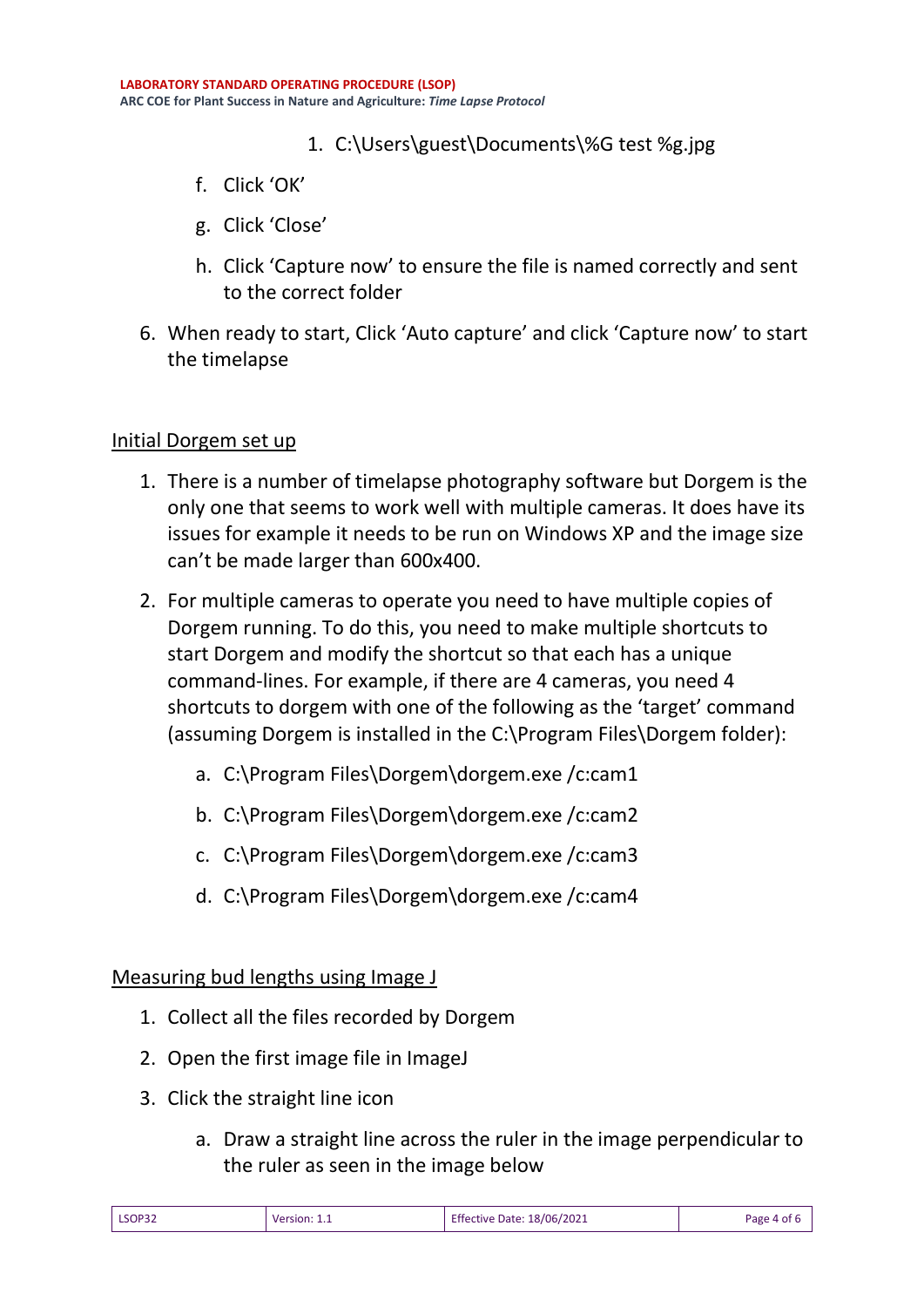### 1. C:\Users\guest\Documents\%G test %g.jpg

- f. Click 'OK'
- g. Click 'Close'
- h. Click 'Capture now' to ensure the file is named correctly and sent to the correct folder
- 6. When ready to start, Click 'Auto capture' and click 'Capture now' to start the timelapse

#### Initial Dorgem set up

- 1. There is a number of timelapse photography software but Dorgem is the only one that seems to work well with multiple cameras. It does have its issues for example it needs to be run on Windows XP and the image size can't be made larger than 600x400.
- 2. For multiple cameras to operate you need to have multiple copies of Dorgem running. To do this, you need to make multiple shortcuts to start Dorgem and modify the shortcut so that each has a unique command-lines. For example, if there are 4 cameras, you need 4 shortcuts to dorgem with one of the following as the 'target' command (assuming Dorgem is installed in the C:\Program Files\Dorgem folder):
	- a. C:\Program Files\Dorgem\dorgem.exe /c:cam1
	- b. C:\Program Files\Dorgem\dorgem.exe /c:cam2
	- c. C:\Program Files\Dorgem\dorgem.exe /c:cam3
	- d. C:\Program Files\Dorgem\dorgem.exe /c:cam4

### Measuring bud lengths using Image J

- 1. Collect all the files recorded by Dorgem
- 2. Open the first image file in ImageJ
- 3. Click the straight line icon
	- a. Draw a straight line across the ruler in the image perpendicular to the ruler as seen in the image below

| LSOP32 | Version: 1.1 | <b>Effective Date: 18/06/2021</b> | Page 4 of 6 |
|--------|--------------|-----------------------------------|-------------|
|--------|--------------|-----------------------------------|-------------|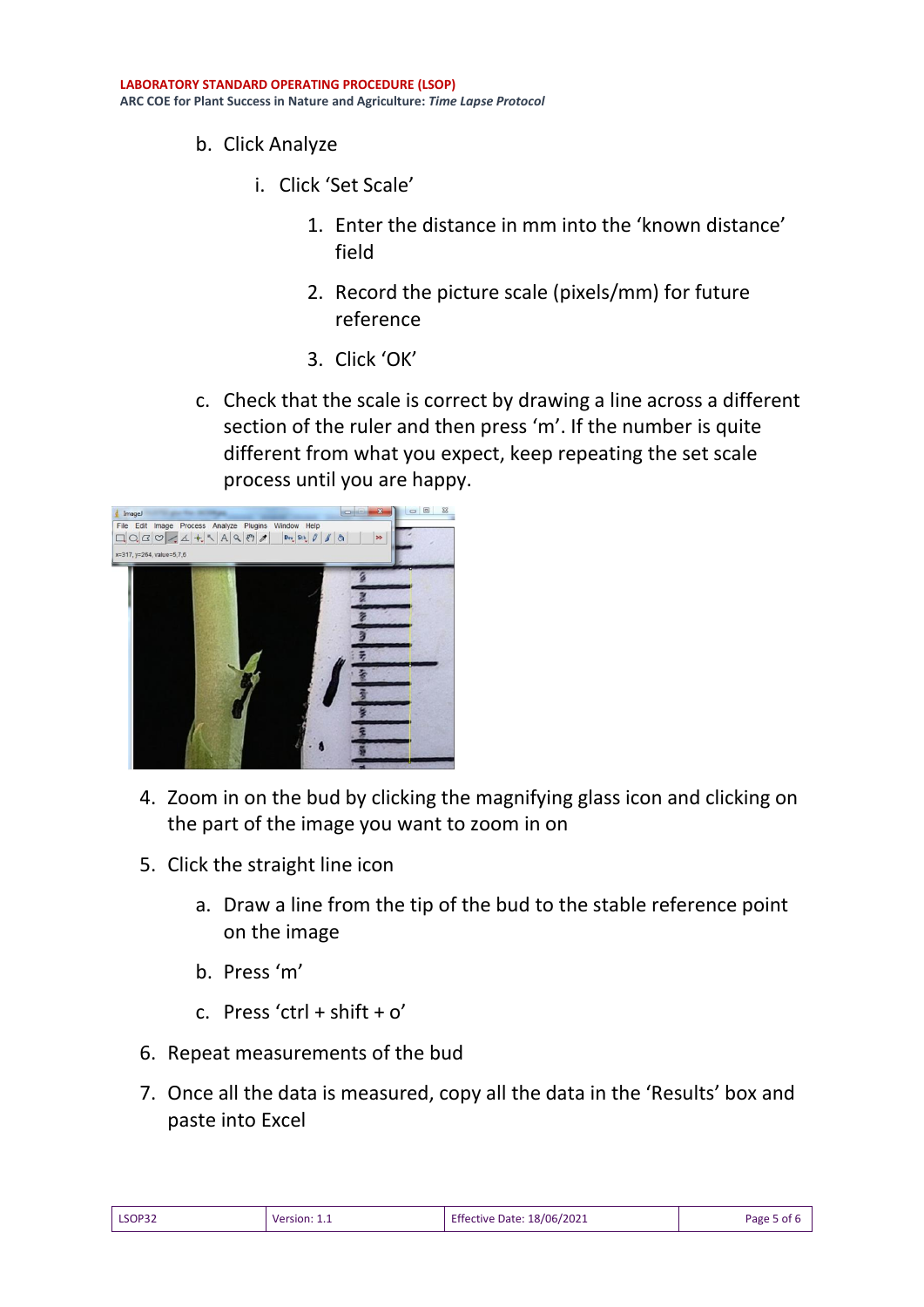- b. Click Analyze
	- i. Click 'Set Scale'
		- 1. Enter the distance in mm into the 'known distance' field
		- 2. Record the picture scale (pixels/mm) for future reference
		- 3. Click 'OK'
- c. Check that the scale is correct by drawing a line across a different section of the ruler and then press 'm'. If the number is quite different from what you expect, keep repeating the set scale process until you are happy.



- 4. Zoom in on the bud by clicking the magnifying glass icon and clicking on the part of the image you want to zoom in on
- 5. Click the straight line icon
	- a. Draw a line from the tip of the bud to the stable reference point on the image
	- b. Press 'm'
	- c. Press 'ctrl + shift +  $o'$
- 6. Repeat measurements of the bud
- 7. Once all the data is measured, copy all the data in the 'Results' box and paste into Excel

| LSOP32 | Version:<br>. | : 18/06/2021<br><b>Effective Date:</b> | Page 5 of |
|--------|---------------|----------------------------------------|-----------|
|--------|---------------|----------------------------------------|-----------|